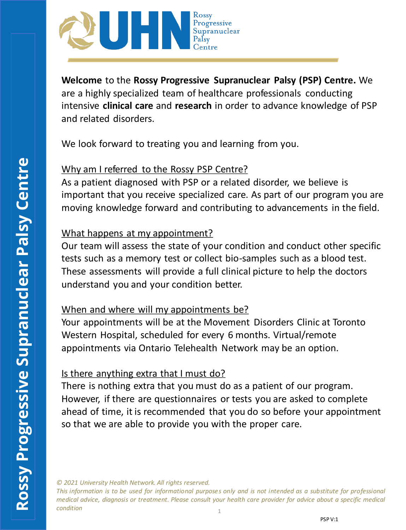

**Welcome** to the **Rossy Progressive Supranuclear Palsy (PSP) Centre.** We are a highly specialized team of healthcare professionals conducting intensive **clinical care** and **research** in order to advance knowledge of PSP and related disorders.

We look forward to treating you and learning from you.

### Why am I referred to the Rossy PSP Centre?

As a patient diagnosed with PSP or a related disorder, we believe is important that you receive specialized care. As part of our program you are moving knowledge forward and contributing to advancements in the field.

### What happens at my appointment?

Our team will assess the state of your condition and conduct other specific tests such as a memory test or collect bio-samples such as a blood test. These assessments will provide a full clinical picture to help the doctors understand you and your condition better.

# When and where will my appointments be?

Your appointments will be at the Movement Disorders Clinic at Toronto Western Hospital, scheduled for every 6 months. Virtual/remote appointments via Ontario Telehealth Network may be an option.

# Is there anything extra that I must do?

There is nothing extra that you must do as a patient of our program. However, if there are questionnaires or tests you are asked to complete ahead of time, it is recommended that you do so before your appointment so that we are able to provide you with the proper care.

*© 2021 University Health Network. All rights reserved.*

1 This information is to be used for informational purposes only and is not intended as a substitute for professional medical advice, diagnosis or treatment. Please consult your health care provider for advice about a specific medical *condition*